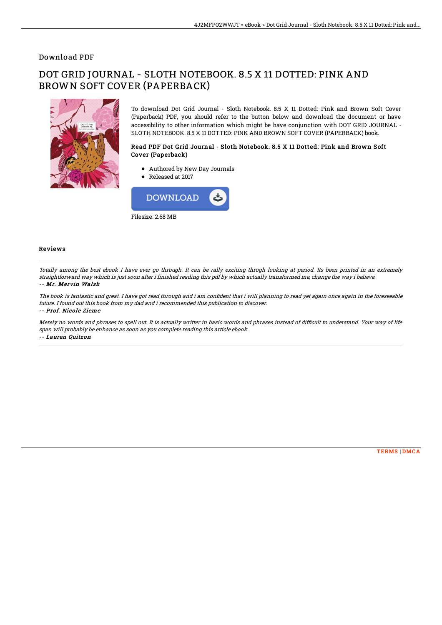### Download PDF

# DOT GRID JOURNAL - SLOTH NOTEBOOK. 8.5 X 11 DOTTED: PINK AND BROWN SOFT COVER (PAPERBACK)



To download Dot Grid Journal - Sloth Notebook. 8.5 X 11 Dotted: Pink and Brown Soft Cover (Paperback) PDF, you should refer to the button below and download the document or have accessibility to other information which might be have conjunction with DOT GRID JOURNAL - SLOTH NOTEBOOK. 8.5 X 11 DOTTED: PINK AND BROWN SOFT COVER (PAPERBACK) book.

#### Read PDF Dot Grid Journal - Sloth Notebook. 8.5 X 11 Dotted: Pink and Brown Soft Cover (Paperback)

- Authored by New Day Journals
- Released at 2017



#### Reviews

Totally among the best ebook I have ever go through. It can be rally exciting throgh looking at period. Its been printed in an extremely straightforward way which is just soon after i finished reading this pdf by which actually transformed me, change the way i believe. -- Mr. Mervin Walsh

The book is fantastic and great. I have got read through and i am confident that i will planning to read yet again once again in the foreseeable future. I found out this book from my dad and i recommended this publication to discover. -- Prof. Nicole Zieme

Merely no words and phrases to spell out. It is actually writter in basic words and phrases instead of difficult to understand. Your way of life span will probably be enhance as soon as you complete reading this article ebook. -- Lauren Quitzon